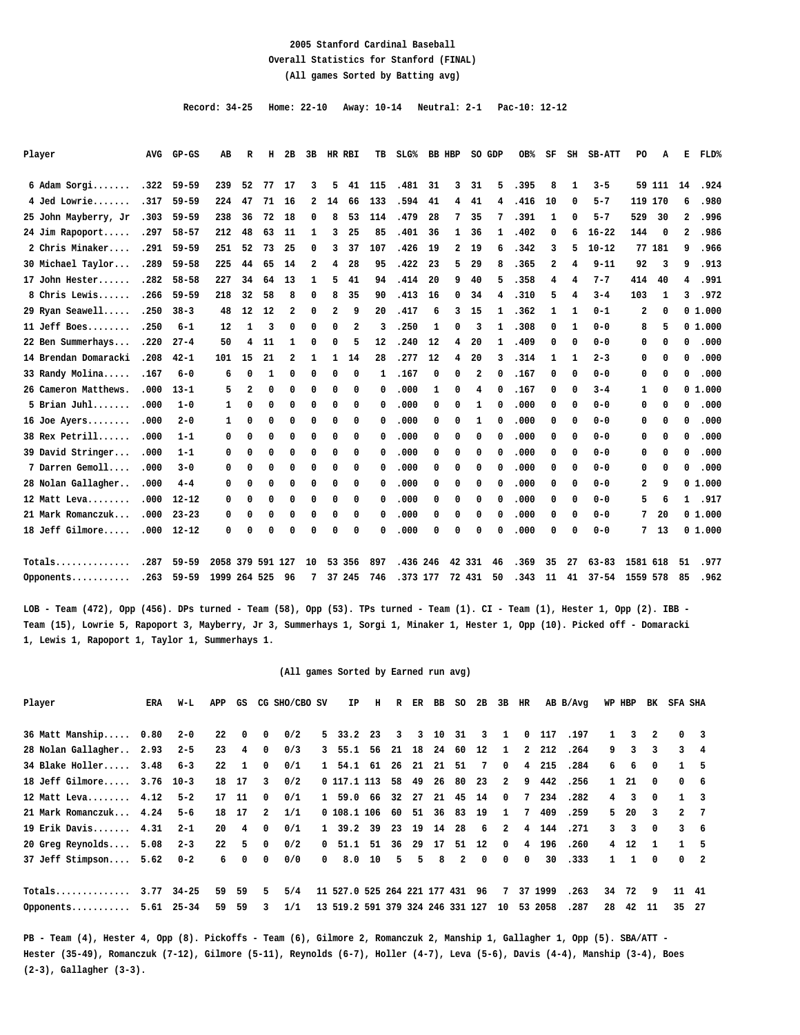#### **2005 Stanford Cardinal Baseball Overall Statistics for Stanford (FINAL) (All games Sorted by Batting avg)**

 **Record: 34-25 Home: 22-10 Away: 10-14 Neutral: 2-1 Pac-10: 12-12**

| Player               | <b>AVG</b> | $GP-GS$   | AB           | R              | н  | 2B          | 3B                      |                | HR RBI | TB  | $SLG\$ | BB HBP       |              | SO GDP |                | OB%  | SF | SH             | <b>SB-ATT</b> | PO.            | А      | Е            | FLD%   |
|----------------------|------------|-----------|--------------|----------------|----|-------------|-------------------------|----------------|--------|-----|--------|--------------|--------------|--------|----------------|------|----|----------------|---------------|----------------|--------|--------------|--------|
| 6 Adam Sorgi         | .322       | $59 - 59$ | 239          | 52             | 77 | 17          | 3                       | 5              | 41     | 115 | .481   | 31           | 3            | 31     | 5.             | .395 | 8  | 1              | $3 - 5$       |                | 59 111 | 14           | .924   |
| 4 Jed Lowrie         | .317       | $59 - 59$ | 224          | 47             | 71 | 16          | 2                       | 14             | 66     | 133 | .594   | 41           | 4            | 41     | 4              | .416 | 10 | 0              | $5 - 7$       | 119 170        |        | 6            | .980   |
| 25 John Mayberry, Jr | .303       | $59 - 59$ | 238          | 36             | 72 | 18          | 0                       | 8              | 53     | 114 | .479   | 28           | 7            | 35     | 7              | .391 | 1  | 0              | $5 - 7$       | 529            | 30     | 2            | .996   |
| 24 Jim Rapoport      | .297       | $58 - 57$ | 212          | 48             | 63 | 11          | 1                       | 3              | 25     | 85  | .401   | 36           | $\mathbf{1}$ | 36     | $\mathbf{1}$   | .402 | 0  | 6              | $16 - 22$     | 144            | 0      | 2            | .986   |
| 2 Chris Minaker      | .291       | $59 - 59$ | 251          | 52             | 73 | 25          | 0                       | 3              | 37     | 107 | .426   | 19           | $\mathbf{2}$ | 19     | 6              | .342 | 3  | 5              | $10 - 12$     |                | 77 181 | 9            | .966   |
| 30 Michael Taylor    | .289       | $59 - 58$ | 225          | 44             | 65 | 14          | $\overline{\mathbf{2}}$ | 4              | 28     | 95  | .422   | 23           | 5            | 29     | 8              | .365 | 2  | 4              | $9 - 11$      | 92             | 3      | 9            | .913   |
| 17 John Hester       | .282       | $58 - 58$ | 227          | 34             | 64 | 13          | 1                       | 5              | 41     | 94  | .414   | 20           | 9            | 40     | 5              | .358 | 4  | 4              | $7 - 7$       | 414            | 40     | 4            | .991   |
| 8 Chris Lewis        | .266       | $59 - 59$ | 218          | 32             | 58 | 8           | 0                       | 8              | 35     | 90  | .413   | 16           | 0            | 34     | $\overline{4}$ | .310 | 5  | 4              | $3 - 4$       | 103            | 1      | 3            | .972   |
| 29 Ryan Seawell      | .250       | $38 - 3$  | 48           | 12             | 12 | 2           | 0                       | $\overline{a}$ | 9      | 20  | .417   | 6            | 3            | 15     | $\mathbf{1}$   | .362 | 1  | $\mathbf{1}$   | $0 - 1$       | $\overline{a}$ | 0      |              | 01.000 |
| 11 Jeff Boes         | .250       | $6 - 1$   | 12           | 1              | 3  | 0           | 0                       | 0              | 2      | 3   | .250   | 1            | 0            | 3      | $\mathbf{1}$   | .308 | 0  | $\overline{1}$ | $0 - 0$       | 8              | 5      |              | 01.000 |
| 22 Ben Summerhays    | .220       | $27 - 4$  | 50           | 4              | 11 | 1           | 0                       | 0              | 5      | 12  | .240   | 12           | 4            | 20     | $\mathbf{1}$   | .409 | 0  | 0              | $0 - 0$       | 0              | 0      | 0            | .000   |
| 14 Brendan Domaracki | .208       | $42 - 1$  | 101          | 15             | 21 | 2           | 1                       | 1              | 14     | 28  | .277   | 12           | 4            | 20     | 3              | .314 | 1  | 1              | $2 - 3$       | 0              | 0      | 0            | .000   |
| 33 Randy Molina      | .167       | $6 - 0$   | 6            | 0              | 1  | 0           | 0                       | 0              | 0      | 1   | .167   | 0            | 0            | 2      | 0              | .167 | 0  | 0              | $0 - 0$       | 0              | 0      | 0            | .000   |
| 26 Cameron Matthews. | .000       | $13 - 1$  | 5            | $\overline{2}$ | 0  | $\mathbf 0$ | 0                       | 0              | 0      | 0   | .000   | $\mathbf{1}$ | 0            | 4      | 0              | .167 | 0  | 0              | $3 - 4$       | 1              | 0      |              | 01.000 |
| $5$ Brian Juhl       | .000       | $1 - 0$   | $\mathbf{1}$ | 0              | 0  | 0           | 0                       | 0              | 0      | 0   | .000   | 0            | 0            | 1      | 0              | .000 | 0  | 0              | $0 - 0$       | 0              | 0      | 0            | .000   |
| 16 Joe Ayers         | .000       | $2 - 0$   | $\mathbf{1}$ | 0              | 0  | 0           | 0                       | 0              | 0      | 0   | .000   | 0            | 0            | 1      | 0              | .000 | 0  | 0              | $0 - 0$       | 0              | 0      | 0            | .000   |
| $38$ Rex Petrill     | .000       | $1 - 1$   | 0            | 0              | 0  | 0           | 0                       | 0              | 0      | 0   | .000   | 0            | 0            | 0      | 0              | .000 | 0  | 0              | $0 - 0$       | 0              | 0      | 0            | .000   |
| 39 David Stringer    | .000       | $1 - 1$   | 0            | 0              | 0  | 0           | 0                       | 0              | 0      | 0   | .000   | 0            | 0            | 0      | 0              | .000 | 0  | 0              | $0 - 0$       | 0              | 0      | 0            | .000   |
| 7 Darren Gemoll      | .000       | $3 - 0$   | 0            | 0              | 0  | 0           | 0                       | 0              | 0      | 0   | .000   | 0            | 0            | 0      | 0              | .000 | 0  | 0              | $0 - 0$       | 0              | 0      | 0            | .000   |
| 28 Nolan Gallagher   | .000       | $4 - 4$   | 0            | 0              | 0  | 0           | 0                       | 0              | 0      | 0   | .000   | 0            | 0            | 0      | 0              | .000 | 0  | 0              | $0 - 0$       | $\overline{a}$ | 9      |              | 01.000 |
| 12 Matt Leva         | .000       | $12 - 12$ | 0            | 0              | 0  | 0           | 0                       | 0              | 0      | 0   | .000   | 0            | 0            | 0      | 0              | .000 | 0  | 0              | $0 - 0$       | 5              | 6      | $\mathbf{1}$ | .917   |
| 21 Mark Romanczuk    | .000       | $23 - 23$ | 0            | 0              | 0  | 0           | 0                       | 0              | 0      | 0   | .000   | 0            | 0            | 0      | 0              | .000 | 0  | 0              | $0 - 0$       | 7              | 20     |              | 01.000 |
| 18 Jeff Gilmore      | .000       | $12 - 12$ | 0            | 0              | 0  | 0           | 0                       | 0              | 0      | 0   | .000   | 0            | 0            | 0      | 0              | .000 | 0  | 0              | $0 - 0$       | 7              | 13     |              | 01.000 |

**Totals.............. .287 59-59 2058 379 591 127 10 53 356 897 .436 246 42 331 46 .369 35 27 63-83 1581 618 51 .977 Opponents........... .263 59-59 1999 264 525 96 7 37 245 746 .373 177 72 431 50 .343 11 41 37-54 1559 578 85 .962**

**LOB - Team (472), Opp (456). DPs turned - Team (58), Opp (53). TPs turned - Team (1). CI - Team (1), Hester 1, Opp (2). IBB - Team (15), Lowrie 5, Rapoport 3, Mayberry, Jr 3, Summerhays 1, Sorgi 1, Minaker 1, Hester 1, Opp (10). Picked off - Domaracki 1, Lewis 1, Rapoport 1, Taylor 1, Summerhays 1.**

#### **(All games Sorted by Earned run avg)**

| ERA                      | W-L     | APP                                                                                                                                              | GS             |            |     |                                             |               | н                |                   | ER                                                                                                         | BB                                        |                                                       | 2B      | 3B                                                                                                                                                          | HR |                                                            |                                                                                                 |                                                                                     |                         | BK                                                                                                            |                                 |
|--------------------------|---------|--------------------------------------------------------------------------------------------------------------------------------------------------|----------------|------------|-----|---------------------------------------------|---------------|------------------|-------------------|------------------------------------------------------------------------------------------------------------|-------------------------------------------|-------------------------------------------------------|---------|-------------------------------------------------------------------------------------------------------------------------------------------------------------|----|------------------------------------------------------------|-------------------------------------------------------------------------------------------------|-------------------------------------------------------------------------------------|-------------------------|---------------------------------------------------------------------------------------------------------------|---------------------------------|
| 36 Matt Manship<br>0.80  | $2 - 0$ | $22 \,$                                                                                                                                          | $^{\circ}$     | $^{\circ}$ | 0/2 |                                             |               | 23               |                   |                                                                                                            | 10                                        | 31                                                    | 3       |                                                                                                                                                             |    |                                                            | .197                                                                                            |                                                                                     |                         | $\mathbf{2}$                                                                                                  | $\overline{\phantom{a}}$        |
| 28 Nolan Gallagher 2.93  | $2 - 5$ | 23                                                                                                                                               | $\overline{4}$ | $^{\circ}$ | 0/3 |                                             |               |                  |                   |                                                                                                            |                                           |                                                       |         |                                                                                                                                                             |    |                                                            |                                                                                                 |                                                                                     | $\mathbf{3}$            | 3                                                                                                             | $3 \quad 4$                     |
|                          | $6 - 3$ | 22                                                                                                                                               | $\mathbf{1}$   | $^{\circ}$ | 0/1 |                                             |               |                  |                   |                                                                                                            |                                           |                                                       | 7       | $^{\circ}$                                                                                                                                                  |    |                                                            | .284                                                                                            |                                                                                     | - 6                     | 0                                                                                                             | 1 5                             |
|                          |         | 18                                                                                                                                               | 17             |            | 0/2 |                                             |               |                  |                   | 49                                                                                                         | 26                                        |                                                       | -23     | $\overline{2}$                                                                                                                                              |    |                                                            | .256                                                                                            |                                                                                     | 21                      | <sup>0</sup>                                                                                                  | $0 \quad 6$                     |
|                          |         | 17                                                                                                                                               | - 11           |            | 0/1 |                                             |               |                  |                   |                                                                                                            |                                           |                                                       |         | $^{\circ}$                                                                                                                                                  |    |                                                            |                                                                                                 |                                                                                     | $\overline{\mathbf{3}}$ | $\Omega$                                                                                                      | $1 \quad 3$                     |
|                          | $5 - 6$ | 18                                                                                                                                               | 17             |            | 1/1 |                                             |               |                  |                   |                                                                                                            |                                           |                                                       |         |                                                                                                                                                             |    |                                                            | .259                                                                                            |                                                                                     |                         | 3.                                                                                                            | $2 \overline{7}$                |
| 19 Erik Davis<br>4.31    | $2 - 1$ | 20                                                                                                                                               | 4              | 0          | 0/1 |                                             |               | 39               |                   |                                                                                                            | 14                                        | 28                                                    | 6       | 2                                                                                                                                                           |    |                                                            | .271                                                                                            |                                                                                     | -3                      | 0                                                                                                             | $3\quad 6$                      |
| 20 Greg Reynolds<br>5.08 | $2 - 3$ | 22                                                                                                                                               | 5              |            | 0/2 |                                             |               |                  |                   |                                                                                                            |                                           |                                                       |         |                                                                                                                                                             |    |                                                            | .260                                                                                            |                                                                                     |                         | $\mathbf{1}$                                                                                                  | $1 \quad 5$                     |
| 37 Jeff Stimpson         | $0 - 2$ |                                                                                                                                                  | 0              | $^{\circ}$ | 0/0 |                                             |               |                  |                   |                                                                                                            |                                           |                                                       | 0       | $^{\circ}$                                                                                                                                                  | 0  | 30                                                         | .333                                                                                            |                                                                                     |                         | 0                                                                                                             | $\overline{\phantom{a}}$        |
|                          |         | 59                                                                                                                                               | 59             |            | 5/4 |                                             |               |                  |                   |                                                                                                            |                                           |                                                       |         | 7                                                                                                                                                           |    |                                                            | .263                                                                                            |                                                                                     | 72                      | -9                                                                                                            | 11 41                           |
|                          |         | 59                                                                                                                                               | 59             | 3          | 1/1 |                                             |               |                  |                   |                                                                                                            |                                           |                                                       |         | 10                                                                                                                                                          |    |                                                            | .287                                                                                            |                                                                                     | 42                      | 11                                                                                                            | 35 27                           |
|                          |         | 34 Blake Holler 3.48<br>18 Jeff Gilmore 3.76 10-3<br>12 Matt Leva 4.12 5-2<br>21 Mark Romanczuk 4.24<br>5.62<br>$3.77$ $34-25$<br>$5.61$ $25-34$ |                | 6          |     | 3<br>0<br>$\overline{2}$<br>$^{\circ}$<br>5 | CG SHO/CBO SV | ΙP<br>$^{\circ}$ | 5, 33.2<br>1 39.2 | 3, 55.1, 56<br>1 54.1 61<br>$0$ 117.1 113<br>1 59.0 66<br>0, 108.1, 106<br>$0\quad 51.1\quad 51$<br>8.0 10 | R<br>3<br>26<br>58<br>32<br>23<br>36<br>5 | $\overline{3}$<br>21<br>27<br>60 51<br>19<br>-29<br>5 | 17<br>8 | so<br>21 18 24 60 12<br>21 51<br>80<br>21 45 14<br>36 83 19<br>51 12<br>$\mathbf{2}$<br>11 527.0 525 264 221 177 431 96<br>13 519.2 591 379 324 246 331 127 |    | $\mathbf{1}$<br>$\mathbf{1}$<br>$\mathbf{1}$<br>$^{\circ}$ | $^{\circ}$<br>$\overline{2}$<br>$\overline{4}$<br>9<br>7<br>7<br>4<br>$\overline{4}$<br>53 2058 | AB B/Avq<br>117<br>212.264<br>215<br>442<br>234.282<br>409<br>144<br>196<br>37 1999 | 28                      | WP HBP<br>$\mathbf{1}$<br>9<br>6<br>$\mathbf{1}$<br>$\overline{4}$<br>5 20<br>3<br>4 12<br>$\mathbf{1}$<br>34 | SFA SHA<br>$\Omega$<br>$\Omega$ |

**PB - Team (4), Hester 4, Opp (8). Pickoffs - Team (6), Gilmore 2, Romanczuk 2, Manship 1, Gallagher 1, Opp (5). SBA/ATT - Hester (35-49), Romanczuk (7-12), Gilmore (5-11), Reynolds (6-7), Holler (4-7), Leva (5-6), Davis (4-4), Manship (3-4), Boes (2-3), Gallagher (3-3).**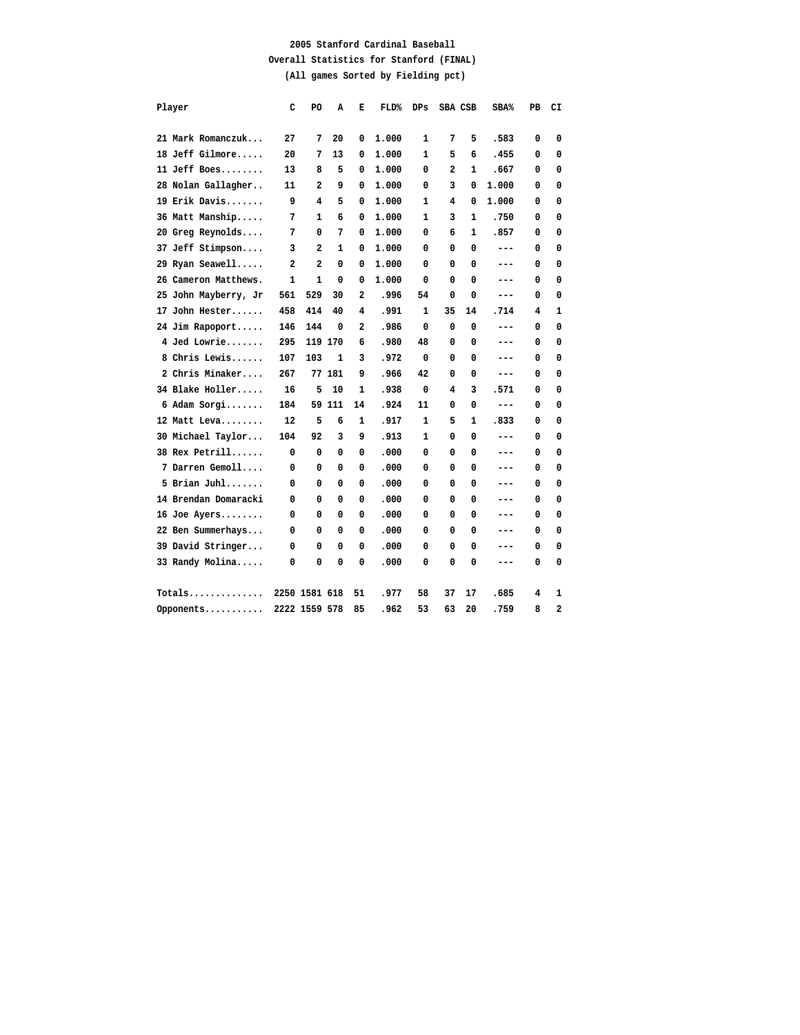## **2005 Stanford Cardinal Baseball Overall Statistics for Stanford (FINAL) (All games Sorted by Fielding pct)**

| Player               | c   | PO            | A      | Е                       | <b>FLD%</b> | DPs          | SBA CSB |              | $SBA\%$ | PB | CI |
|----------------------|-----|---------------|--------|-------------------------|-------------|--------------|---------|--------------|---------|----|----|
|                      |     |               |        |                         |             |              |         |              |         |    |    |
| 21 Mark Romanczuk    | 27  | 7             | 20     | 0                       | 1,000       | 1            | 7       | 5            | .583    | 0  | 0  |
| 18 Jeff Gilmore      | 20  | 7             | 13     | 0                       | 1.000       | 1            | 5       | 6            | .455    | 0  | 0  |
| 11 Jeff Boes         | 13  | 8             | 5      | 0                       | 1.000       | 0            | 2       | 1            | .667    | 0  | 0  |
| 28 Nolan Gallagher   | 11  | 2             | 9      | 0                       | 1.000       | 0            | 3       | 0            | 1.000   | 0  | 0  |
| 19 Erik Davis        | 9   | 4             | 5      | 0                       | 1.000       | $\mathbf{1}$ | 4       | 0            | 1.000   | 0  | 0  |
| 36 Matt Manship      | 7   | 1             | 6      | 0                       | 1.000       | $\mathbf{1}$ | 3       | $\mathbf{1}$ | .750    | 0  | 0  |
| 20 Greg Reynolds     | 7   | 0             | 7      | 0                       | 1.000       | 0            | 6       | 1            | .857    | 0  | 0  |
| 37 Jeff Stimpson     | 3   | 2             | 1      | 0                       | 1.000       | 0            | 0       | 0            | ---     | 0  | 0  |
| 29 Ryan Seawell      | 2   | 2             | 0      | 0                       | 1.000       | 0            | 0       | 0            | ---     | 0  | 0  |
| 26 Cameron Matthews. | 1   | $\mathbf{1}$  | 0      | 0                       | 1.000       | 0            | 0       | 0            | ---     | 0  | 0  |
| 25 John Mayberry, Jr | 561 | 529           | 30     | $\mathbf{2}$            | .996        | 54           | 0       | 0            | ---     | 0  | 0  |
| 17 John Hester       | 458 | 414           | 40     | 4                       | .991        | $\mathbf{1}$ | 35      | 14           | .714    | 4  | 1  |
| 24 Jim Rapoport      | 146 | 144           | 0      | $\overline{\mathbf{2}}$ | .986        | 0            | 0       | 0            | ---     | 0  | 0  |
| 4 Jed Lowrie         | 295 | 119 170       |        | 6                       | .980        | 48           | 0       | 0            | ---     | 0  | 0  |
| 8 Chris Lewis        | 107 | 103           | 1      | 3                       | .972        | 0            | 0       | 0            | ---     | 0  | 0  |
| 2 Chris Minaker      | 267 |               | 77 181 | 9                       | .966        | 42           | 0       | 0            | ---     | 0  | 0  |
| 34 Blake Holler      | 16  | 5             | 10     | 1                       | .938        | 0            | 4       | 3            | .571    | 0  | 0  |
| 6 Adam Sorgi         | 184 |               | 59 111 | 14                      | .924        | 11           | 0       | 0            | $---$   | 0  | 0  |
| 12 Matt Leva         | 12  | 5             | 6      | $\mathbf{1}$            | .917        | $\mathbf{1}$ | 5       | $\mathbf{1}$ | .833    | 0  | 0  |
| 30 Michael Taylor    | 104 | 92            | 3      | 9                       | .913        | $\mathbf{1}$ | 0       | 0            | ---     | 0  | 0  |
| 38 Rex Petrill       | 0   | 0             | 0      | 0                       | .000        | 0            | 0       | 0            | ---     | 0  | 0  |
| 7 Darren Gemoll      | 0   | 0             | 0      | 0                       | .000        | 0            | 0       | 0            | ---     | 0  | 0  |
| $5$ Brian Juhl       | 0   | 0             | 0      | 0                       | .000        | 0            | 0       | 0            | ---     | 0  | 0  |
| 14 Brendan Domaracki | 0   | 0             | 0      | 0                       | .000        | 0            | 0       | 0            | ---     | 0  | 0  |
| 16 Joe Ayers         | 0   | 0             | 0      | 0                       | .000        | 0            | 0       | 0            | ---     | 0  | 0  |
| 22 Ben Summerhays    | 0   | 0             | 0      | 0                       | .000        | 0            | 0       | 0            | ---     | 0  | 0  |
| 39 David Stringer    | 0   | 0             | 0      | 0                       | .000        | 0            | 0       | 0            | ---     | 0  | 0  |
| 33 Randy Molina      | 0   | 0             | 0      | 0                       | .000        | 0            | 0       | 0            | ---     | 0  | 0  |
| Totals               |     | 2250 1581 618 |        | 51                      | .977        | 58           | 37      | 17           | .685    | 4  | 1  |
| Opponents            |     | 2222 1559 578 |        | 85                      | .962        | 53           | 63      | 20           | .759    | 8  | 2  |
|                      |     |               |        |                         |             |              |         |              |         |    |    |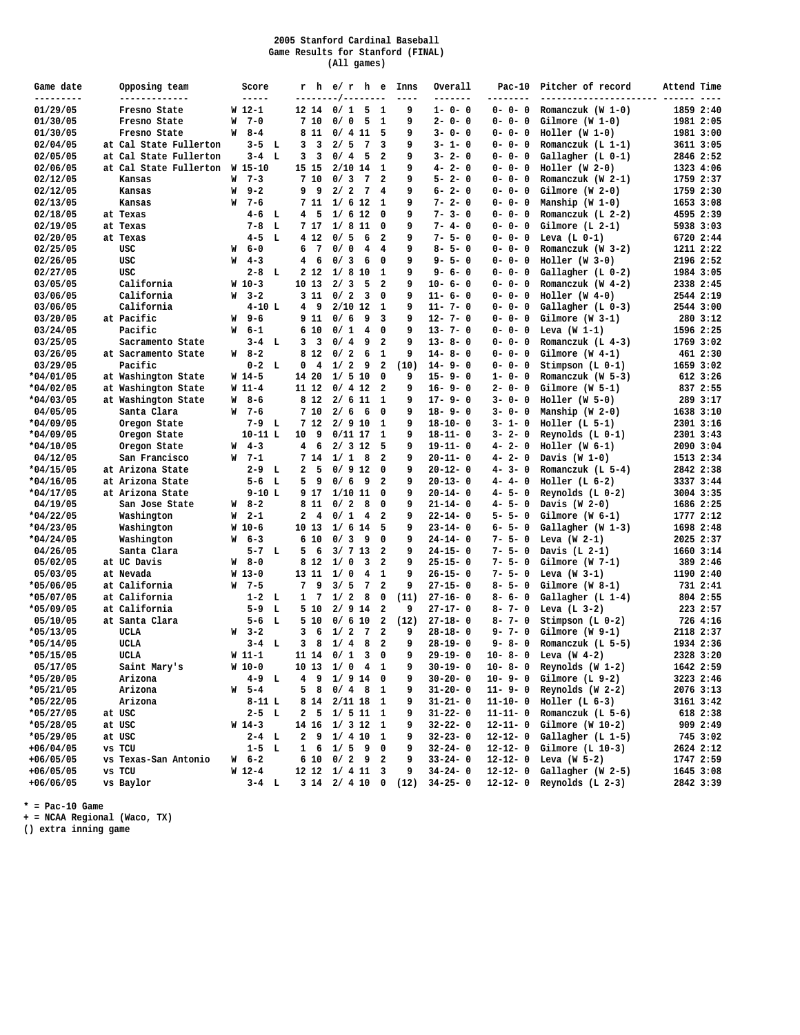#### **2005 Stanford Cardinal Baseball Game Results for Stanford (FINAL) (All games)**

| Game date<br>---------  | Opposing team<br>-------------             |   | Score<br>-----      |                 |                | --------/-- | rhe/rhe<br>------ |                         | Inns                             | Overall<br>-------             | $Pac-10$<br>--------       | Pitcher of record<br>---------------------- ----- | Attend Time |                      |
|-------------------------|--------------------------------------------|---|---------------------|-----------------|----------------|-------------|-------------------|-------------------------|----------------------------------|--------------------------------|----------------------------|---------------------------------------------------|-------------|----------------------|
| 01/29/05                | Fresno State                               |   | $W_12-1$            |                 | 12 14          | 0/1         |                   | 5 <sub>1</sub>          | 9                                | $1 - 0 - 0$                    | $0 - 0 - 0$                | Romanczuk (W $1-0$ )                              |             | 1859 2:40            |
| 01/30/05                | Fresno State                               | W | $7 - 0$             |                 | 7 10           | 0/0         | 5                 | $\mathbf{1}$            | 9                                | $2 - 0 - 0$                    | $0 - 0 - 0$                | $Gilmore (W 1-0)$                                 |             | 1981 2:05            |
| 01/30/05                | Fresno State                               | W | 8-4                 |                 | 8 11           |             | 0/411             | 5                       | 9                                | $3 - 0 - 0$                    | $0 - 0 - 0$                | $Holler (W 1-0)$                                  |             | 1981 3:00            |
| 02/04/05                | at Cal State Fullerton                     |   | $3 - 5$ L           | 3               | 3              | 2/5         | 7                 | 3                       | 9                                | $3 - 1 - 0$                    | $0 - 0 - 0$                | Romanczuk $(L 1-1)$                               |             | 3611 3:05            |
| 02/05/05                | at Cal State Fullerton                     |   | $3-4$ L             | 3               | 3              | 0/4         | 5                 | 2                       | 9                                | $3 - 2 - 0$                    | $0 - 0 - 0$                | Gallagher (L 0-1)                                 |             | 2846 2:52            |
| 02/06/05                | at Cal State Fullerton                     |   | W 15-10             |                 | 15 15          |             | $2/10$ 14         | 1                       | 9                                | $4 - 2 - 0$                    | $0 - 0 - 0$                | $Holler (W 2-0)$                                  |             | 1323 4:06            |
| 02/12/05                | Kansas                                     | W | $7 - 3$             |                 | 7 10           | 0/3         | 7                 | $\overline{2}$          | 9                                | $5 - 2 - 0$                    | $0 - 0 - 0$                | Romanczuk (W 2-1)                                 |             | 1759 2:37            |
| 02/12/05                | Kansas                                     | W | $9 - 2$             | 9               | 9              | 2/2         | $7\phantom{.0}$   | 4                       | 9                                | $6 - 2 - 0$                    | $0 - 0 - 0$                | $Gilmore (W 2-0)$                                 |             | 1759 2:30            |
| 02/13/05                | Kansas                                     | W | $7 - 6$             |                 | 7 11           | 1/6         | 12                | 1                       | 9                                | $7 - 2 - 0$                    | $0 - 0 - 0$                | Manship $(W 1-0)$                                 |             | 1653 3:08            |
| 02/18/05                | at Texas                                   |   | $4-6$ L             |                 | 4 <sub>5</sub> |             | 1/612             | $\mathbf{0}$            | 9                                | $7 - 3 - 0$                    | $0 - 0 - 0$                | Romanczuk (L $2-2$ )                              |             | 4595 2:39            |
| 02/19/05                | at Texas                                   |   | $7 - 8$<br>L        |                 | 7 17           | 1/8         | 11                | 0                       | 9                                | $7 - 4 - 0$                    | $0 - 0 - 0$                | $Gilmore (L 2-1)$                                 |             | 5938 3:03            |
| 02/20/05                | at Texas                                   |   | $4 - 5$<br>L        |                 | 4 1 2          | 0/5         | 6                 | $\overline{2}$          | 9                                | $7 - 5 - 0$                    | $0 - 0 - 0$                | Leva $(L 0-1)$                                    |             | 6720 2:44            |
| 02/25/05                | USC                                        |   | $W = 6 - 0$         | 6               | 7              | 0/0         | 4                 | $\overline{4}$          | 9                                | $8 - 5 - 0$                    | $0 - 0 - 0$                | Romanczuk (W 3-2)                                 |             | 1211 2:22            |
| 02/26/05                | USC                                        |   | $W = 4 - 3$         | $4\overline{ }$ | 6              | 0/3         | 6                 | 0                       | 9                                | $9 - 5 - 0$                    | $0 - 0 - 0$                | $Holler (W 3-0)$                                  |             | 2196 2:52            |
| 02/27/05                | USC                                        |   | $2-8$ L             |                 | 2 1 2          | 1/8         | 10                | 1                       | 9                                | $9 - 6 - 0$                    | $0 - 0 - 0$                | $Gallagher (L 0-2)$                               |             | 1984 3:05            |
| 03/05/05                | California                                 |   | $W_10-3$            |                 | 10 13          | 2/3         | 5                 | $\overline{\mathbf{2}}$ | 9                                | $10 - 6 - 0$                   | $0 - 0 - 0$                | Romanczuk (W $4-2$ )                              |             | 2338 2:45            |
| 03/06/05                | California                                 | W | $3 - 2$             |                 | 3 11           | 0/2         | 3                 | 0                       | 9                                | $11 - 6 - 0$                   | $0 - 0 - 0$                | $Holler (W 4-0)$                                  |             | 2544 2:19            |
| 03/06/05                | California                                 |   | $4 - 10$ L          |                 | 49             |             | $2/10$ 12         | 1                       | 9                                | $11 - 7 - 0$                   | $0 - 0 - 0$                | $Gallagher (L 0-3)$                               |             | 2544 3:00            |
| 03/20/05                | at Pacific                                 | W | $9 - 6$             |                 | 9 11           | 0/6         | 9                 | 3                       | 9                                | $12 - 7 - 0$                   | $0 - 0 - 0$                | $Gilmore (W 3-1)$                                 |             | 280 3:12             |
| 03/24/05                | Pacific                                    | W | 6-1                 |                 | 6 10           | 0/1         | 4                 | 0                       | 9                                | $13 - 7 - 0$                   | $0 - 0 - 0$                | Leva $(W 1-1)$                                    |             | 1596 2:25            |
| 03/25/05                | Sacramento State                           |   | $3-4$ L             | 3               | 3              | 0/4         | 9                 | $\overline{2}$          | 9                                | $13 - 8 - 0$<br>$14 - 8 - 0$   | $0 - 0 - 0$                | Romanczuk $(L_4-3)$                               |             | 1769 3:02            |
| 03/26/05                | at Sacramento State                        | W | 8-2                 |                 | 8 1 2          | 0/2         | 6                 | $\mathbf{1}$            | 9                                |                                | $0 - 0 - 0$                | $Gilmore (W 4-1)$                                 |             | 461 2:30             |
| 03/29/05<br>$*04/01/05$ | Pacific                                    |   | $0-2$ L             | 0               | 4              | 1/2         | 9                 | $\overline{\mathbf{2}}$ | (10)                             | $14 - 9 - 0$                   | $0 - 0 - 0$                | Stimpson $(L 0-1)$                                |             | 1659 3:02            |
| $*04/02/05$             | at Washington State<br>at Washington State |   | $W14-5$<br>$W_11-4$ |                 | 14 20<br>11 12 |             | 1/510<br>0/412    | 0<br>$\overline{2}$     | 9<br>9                           | $15 - 9 - 0$<br>$16 - 9 - 0$   | $1 - 0 - 0$<br>$2 - 0 - 0$ | Romanczuk (W 5-3)<br>Gilmore (W 5-1)              |             | 612 3:26<br>837 2:55 |
| $*04/03/05$             | at Washington State                        |   | $W$ 8-6             |                 | 8 1 2          |             | 2/611             | 1                       | 9                                | $17 - 9 - 0$                   | $3 - 0 - 0$                | $Holler (W 5-0)$                                  |             | 289 3:17             |
| 04/05/05                | Santa Clara                                |   | $W = 7 - 6$         |                 | 7 10           | 2/6         | 6                 | $\mathbf{0}$            | 9                                | $18 - 9 - 0$                   | $3 - 0 - 0$                | Manship (W 2-0)                                   |             | 1638 3:10            |
| $*04/09/05$             | Oregon State                               |   | $7-9$ L             |                 | 7 12           |             | 2/910             | 1                       | 9                                | $18 - 10 - 0$                  | $3 - 1 - 0$                | $Holler$ (L 5-1)                                  |             | 2301 3:16            |
| $*04/09/05$             | Oregon State                               |   | $10 - 11 L$         | 10              | 9              |             | $0/11$ 17         | $\mathbf{1}$            | 9                                | $18 - 11 - 0$                  | $3 - 2 - 0$                | Reynolds $(L 0-1)$                                |             | 2301 3:43            |
| $*04/10/05$             | Oregon State                               | W | $4 - 3$             | $\overline{4}$  | 6              |             | 2/312             | 5                       | 9                                | $19 - 11 - 0$                  | $4 - 2 - 0$                | $Holler (W 6-1)$                                  |             | 2090 3:04            |
| 04/12/05                | San Francisco                              |   | $W$ 7-1             |                 | 7 14           | 1/1         | 8                 | $\overline{2}$          | 9                                | $20 - 11 - 0$                  | $4 - 2 - 0$                | Davis $(W 1-0)$                                   |             | 1513 2:34            |
| $*04/15/05$             | at Arizona State                           |   | $2-9$ L             | $\overline{a}$  | 5              |             | 0/912             | 0                       | 9                                | $20 - 12 - 0$                  | $4 - 3 - 0$                | Romanczuk (L $5-4$ )                              |             | 2842 2:38            |
| $*04/16/05$             | at Arizona State                           |   | $5-6$ L             | 5               | 9              | 0/6         | 9                 | $\overline{2}$          | 9                                | $20 - 13 - 0$                  | $4 - 4 - 0$                | $Holler$ (L $6-2$ )                               |             | 3337 3:44            |
| $*04/17/05$             | at Arizona State                           |   | $9-10L$             |                 | 9 17           | 1/10        | 11                | 0                       | 9                                | $20 - 14 - 0$                  | $4 - 5 - 0$                | Reynolds $(L 0-2)$                                |             | 3004 3:35            |
| 04/19/05                | San Jose State                             |   | $W = 8 - 2$         |                 | 8 1 1          | 0/2         | 8                 | 0                       | 9                                | $21 - 14 - 0$                  | $4 - 5 - 0$                | Davis $(W_2-0)$                                   |             | 1686 2:25            |
| $*04/22/05$             | Washington                                 | W | $2 - 1$             | $\overline{a}$  | 4              | 0/1         | 4                 | $\overline{2}$          | 9                                | $22 - 14 - 0$                  | $5 - 5 - 0$                | $Gilmore (W 6-1)$                                 |             | 1777 2:12            |
| $*04/23/05$             | Washington                                 |   | $W_10-6$            |                 | 10 13          |             | $1/6$ 14          | 5                       | 9                                | $23 - 14 - 0$                  | $6 - 5 - 0$                | Gallagher (W 1-3)                                 |             | 1698 2:48            |
| $*04/24/05$             | Washington                                 | W | $6 - 3$             |                 | 610            | 0/3         | 9                 | 0                       | 9                                | $24 - 14 - 0$                  | $7 - 5 - 0$                | Leva $(W_2-1)$                                    |             | 2025 2:37            |
| 04/26/05                | Santa Clara                                |   | $5-7$ L             | 5               | 6              |             | 3/713             | -2                      | 9                                | $24 - 15 - 0$                  | $7 - 5 - 0$                | Davis $(L 2-1)$                                   |             | 1660 3:14            |
| 05/02/05                | at UC Davis                                |   | $W$ 8-0             |                 | 8 1 2          | 1/0         | 3                 | $\overline{\mathbf{2}}$ | 9                                | $25 - 15 - 0$                  | $7 - 5 - 0$                | $Gilmore (W 7-1)$                                 |             | 389 2:46             |
| 05/03/05                | at Nevada                                  |   | $W_13-0$            |                 | 13 11          | 1/0         | 4                 | 1                       | 9                                | $26 - 15 - 0$                  | $7 - 5 - 0$                | Leva $(W_3-1)$                                    |             | 1190 2:40            |
| $*05/06/05$             | at California                              | W | $7 - 5$             | 7               | 9              | 3/5         | 7                 | $\overline{\mathbf{2}}$ | 9                                | $27 - 15 - 0$                  | $8 - 5 - 0$                | $Gilmore (W 8-1)$                                 |             | 731 2:41             |
| $*05/07/05$             | at California                              |   | $1-2$ L             | $\mathbf{1}$    | 7              | 1/2         | 8                 | 0                       | (11)                             | $27 - 16 - 0$                  | $8 - 6 - 0$                | $Gallagher (L 1-4)$                               |             | 804 2:55             |
| $*05/09/05$             | at California                              |   | $5 - 9$<br>L        |                 | 5 10           |             | $2/9$ 14          | 2                       | 9                                | $27 - 17 - 0$                  | $8 - 7 - 0$                | Leva $(L 3-2)$                                    |             | 223 2:57             |
| 05/10/05                | at Santa Clara                             |   | $5 - 6$<br>- L      |                 | 5 10           |             | 0/610             | 2                       | (12)                             | $27 - 18 - 0$                  | $8 - 7 - 0$                | Stimpson $(L 0-2)$                                |             | 726 4:16             |
| $*05/13/05$             | <b>UCLA</b>                                |   | $W = 3 - 2$         | 3               | 6              | 1/2         | 7                 | $\overline{2}$          | 9                                | $28 - 18 - 0$                  | $9 - 7 - 0$                | $Gilmore (W 9-1)$                                 |             | 2118 2:37            |
| $*05/14/05$             | <b>UCLA</b>                                |   | $3-4$ L             | 3               | 8              | 1/4         | 8                 | $\overline{2}$          | 9                                | $28 - 19 - 0$                  | $9 - 8 - 0$                | Romanczuk (L 5-5)                                 |             | 1934 2:36            |
| $*05/15/05$             | <b>UCLA</b>                                |   | $W11-1$             |                 | 11 14          | 0/1         | 3                 | $\mathbf{0}$            | 9                                | $29 - 19 - 0$                  | $10 - 8 - 0$               | Leva $(W 4-2)$                                    |             | 2328 3:20            |
| 05/17/05                | Saint Mary's                               |   | W 10-0              |                 |                |             | 10 13 1/0 4 1     |                         | 9                                | $30 - 19 - 0$                  |                            | 10- 8- 0 Reynolds (W 1-2)                         |             | 1642 2:59            |
| $*05/20/05$             | Arizona                                    |   | $4 - 9$ L           |                 |                |             | 4 9 1 / 9 14 0    |                         | 9                                | $30 - 20 - 0$                  | $10 - 9 - 0$               | Gilmore $(L 9-2)$                                 |             | 3223 2:46            |
| $*05/21/05$             | Arizona                                    |   | $W = 5 - 4$         | 5               | 8              |             | $0/4$ 8 1         |                         | 9                                | $31 - 20 - 0$                  | $11 - 9 - 0$               | Reynolds $(W 2-2)$                                |             | 2076 3:13            |
| $*05/22/05$             | Arizona                                    |   | $8 - 11 L$          |                 |                |             | 8 14 2/11 18 1    |                         | 9                                | $31 - 21 - 0$                  | $11 - 10 - 0$              | $Holler (L 6-3)$                                  |             | 3161 3:42            |
| $*05/27/05$             | at USC                                     |   | $2 - 5$ L           | $\mathbf{2}$    | 5              |             | $1/511$ 1         |                         | 9                                | $31 - 22 - 0$                  | $11 - 11 - 0$              | Romanczuk (L 5-6)                                 |             | 618 2:38             |
| $*05/28/05$             | at USC                                     |   | $W_14-3$            |                 |                |             | 14 16 1/ 3 12 1   |                         | 9                                | $32 - 22 - 0$                  | $12 - 11 - 0$              | Gilmore (W $10-2$ )                               |             | 909 2:49             |
| $*05/29/05$             | at USC                                     |   | $2-4$ L             | $\mathbf{2}$    | 9              |             | 1/410             | 1                       | 9                                | $32 - 23 - 0$                  | $12 - 12 - 0$              | Gallagher (L 1-5)                                 |             | 745 3:02             |
| $+06/04/05$             | vs TCU                                     |   | $1-5$ L             |                 |                |             | $1 \t6 \t1/5 \t9$ | 0                       | 9                                | $32 - 24 - 0$                  | $12 - 12 - 0$              | $Gilmore (L 10-3)$                                |             | 2624 2:12            |
| $+06/05/05$             | vs Texas-San Antonio                       |   | W 6-2               |                 | 6 10           |             | $0/2$ 9           | 2                       | 9                                | $33 - 24 - 0$                  | $12 - 12 - 0$              | Leva (W $5-2$ )                                   |             | 1747 2:59            |
| $+06/05/05$             | vs TCU                                     |   | $W_12-4$            |                 |                |             | 12 12 1/ 4 11 3   |                         | 9                                | $34 - 24 - 0$<br>$34 - 25 - 0$ | $12 - 12 - 0$              | Gallagher (W 2-5)<br>Reynolds $(L 2-3)$           |             | 1645 3:08            |
| $+06/06/05$             | vs Baylor                                  |   | $3-4$ L             |                 |                |             |                   |                         | $3 \t14 \t2 / 4 \t10 \t0 \t(12)$ |                                | $12 - 12 - 0$              |                                                   |             | 2842 3:39            |

**\* = Pac-10 Game**

**+ = NCAA Regional (Waco, TX)**

**() extra inning game**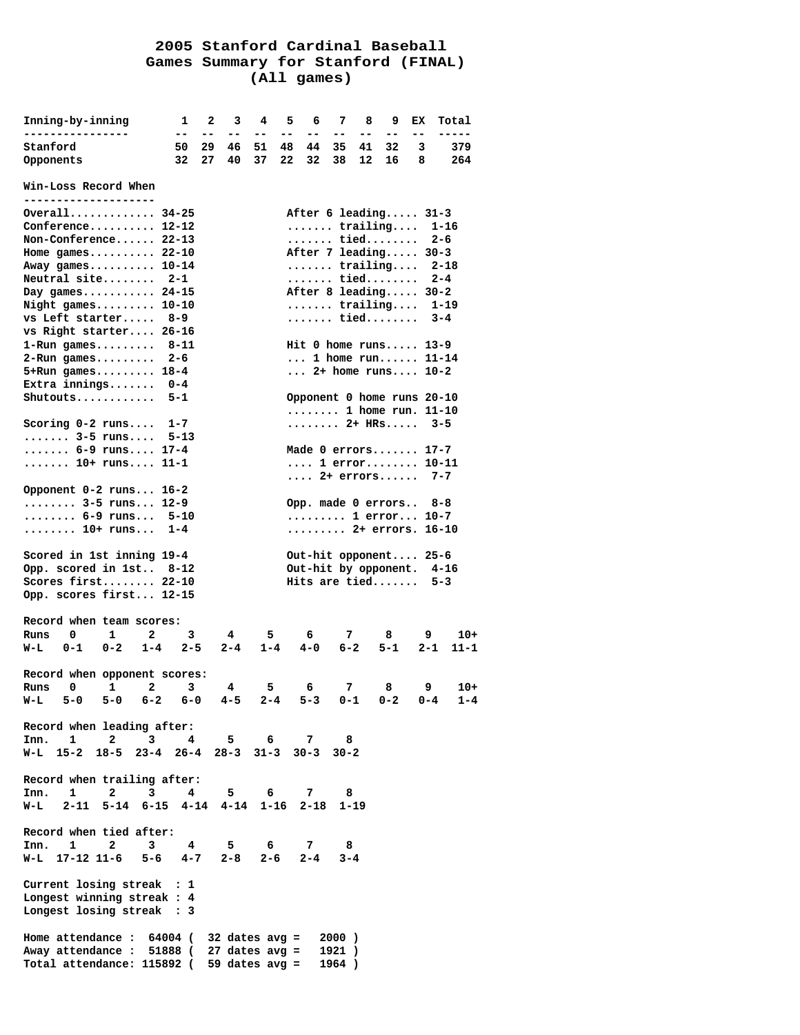# **2005 Stanford Cardinal Baseball Games Summary for Stanford (FINAL) (All games)**

| Inning-by-inning                                                                                    | 1               | $\mathbf{2}$ | 3              | 4        | 5        | 6        | - 7                                                | 8        | 9        | EХ      | Total      |
|-----------------------------------------------------------------------------------------------------|-----------------|--------------|----------------|----------|----------|----------|----------------------------------------------------|----------|----------|---------|------------|
|                                                                                                     | $- -$           | $-$          | $- -$          | $- -$    | $- -$    | $- -$    | $ -$                                               | --       | --       | $- -$   | -----      |
| Stanford                                                                                            | 50<br>32        | 29<br>27     | 46<br>40       | 51<br>37 | 48<br>22 | 44<br>32 | 35<br>38                                           | 41<br>12 | 32<br>16 | 3<br>8  | 379<br>264 |
| Opponents                                                                                           |                 |              |                |          |          |          |                                                    |          |          |         |            |
| Win-Loss Record When<br>--------------                                                              |                 |              |                |          |          |          |                                                    |          |          |         |            |
| Overall $34-25$                                                                                     |                 |              |                |          |          |          | After 6 leading 31-3                               |          |          |         |            |
| Conference $12-12$                                                                                  |                 |              |                |          |          |          | $\ldots \ldots$ trailing                           |          |          |         | $1 - 16$   |
| Non-Conference 22-13                                                                                |                 |              |                |          |          |          | tied                                               |          |          |         | $2 - 6$    |
| Home games $22-10$                                                                                  |                 |              |                |          |          |          | After 7 leading 30-3                               |          |          |         |            |
| Away games 10-14                                                                                    |                 |              |                |          |          |          | $\cdots$ trailing 2-18                             |          |          |         |            |
| Neutral site                                                                                        | $2 - 1$         |              |                |          |          |          | tied                                               |          |          |         | $2 - 4$    |
| Day games $24-15$                                                                                   |                 |              |                |          |          |          | After 8 leading 30-2                               |          |          |         |            |
| Night games 10-10                                                                                   |                 |              |                |          |          |          | $\cdots \cdots$ trailing                           |          |          |         | $1 - 19$   |
| vs Left starter                                                                                     | 8–9             |              |                |          |          |          | tied                                               |          |          |         | $3 - 4$    |
| vs Right starter 26-16                                                                              |                 |              |                |          |          |          |                                                    |          |          |         |            |
| $1 - Run$ games<br>$2 - Run$ games                                                                  | $8 - 11$<br>2-6 |              |                |          |          |          | Hit 0 home runs 13-9<br>$\ldots$ 1 home run 11-14  |          |          |         |            |
| $5+Run$ games 18-4                                                                                  |                 |              |                |          |          |          | $2+$ home runs $10-2$                              |          |          |         |            |
| Extra innings $0-4$                                                                                 |                 |              |                |          |          |          |                                                    |          |          |         |            |
| Shutouts                                                                                            | $5 - 1$         |              |                |          |          |          | Opponent 0 home runs 20-10                         |          |          |         |            |
|                                                                                                     |                 |              |                |          |          |          | $\ldots \ldots \ldots$ 1 home run. 11-10           |          |          |         |            |
| Scoring $0-2$ runs                                                                                  | $1 - 7$         |              |                |          |          |          |                                                    |          |          |         | $3 - 5$    |
| $ \ldots 3 - 5 \text{ runs} \ldots$                                                                 | $5 - 13$        |              |                |          |          |          |                                                    |          |          |         |            |
| $\ldots \ldots$ 6-9 runs 17-4                                                                       |                 |              |                |          |          |          | Made 0 errors 17-7                                 |          |          |         |            |
| 10+ runs 11-1                                                                                       |                 |              |                |          |          |          | 1 $error$ 10-11                                    |          |          |         |            |
|                                                                                                     |                 |              |                |          |          |          | $\ldots$ 2+ errors 7-7                             |          |          |         |            |
| Opponent 0-2 runs 16-2                                                                              |                 |              |                |          |          |          |                                                    |          |          |         |            |
| $\cdots \cdots \cdots$ 3-5 runs 12-9                                                                |                 |              |                |          |          |          | Opp. made 0 errors                                 |          |          |         | 8-8        |
| $ \ldots . 6 - 9 \text{ runs}$                                                                      | $5 - 10$        |              |                |          |          |          | 1 $error$ 10-7                                     |          |          |         |            |
| $\ldots \ldots \ldots$ 10+ runs                                                                     | $1 - 4$         |              |                |          |          |          | $\cdots \cdots \cdots$ 2+ errors.                  |          |          |         | $16 - 10$  |
| Scored in 1st inning 19-4<br>Opp. scored in 1st 8-12                                                |                 |              |                |          |          |          | Out-hit opponent 25-6<br>Out-hit by opponent. 4-16 |          |          |         |            |
| Scores first 22-10                                                                                  |                 |              |                |          |          |          | Hits are tied                                      |          |          |         | $5 - 3$    |
| Opp. scores first 12-15                                                                             |                 |              |                |          |          |          |                                                    |          |          |         |            |
|                                                                                                     |                 |              |                |          |          |          |                                                    |          |          |         |            |
| Record when team scores:                                                                            |                 |              |                |          |          |          |                                                    |          |          |         |            |
| 0<br>1<br>2<br>Runs                                                                                 | 3               |              | 4              | 5.       |          | 6        | 7                                                  |          | 8        | 9       | $10+$      |
| $0 - 1$<br>$0 - 2$<br>$1 - 4$<br>W-L                                                                | $2 - 5$         |              | $2 - 4$        | $1 - 4$  |          | $4 - 0$  | $6 - 2$                                            |          | $5 - 1$  | $2 - 1$ | $11 - 1$   |
| Record when opponent scores:                                                                        |                 |              |                |          |          |          |                                                    |          |          |         |            |
| 2<br>1<br>Runs<br>0                                                                                 | 3               |              | $\overline{4}$ | 5        |          | 6        | 7 <sup>7</sup>                                     |          | 8        | 9       | $10+$      |
| W-L 5-0 5-0 6-2 6-0                                                                                 |                 |              | $4 - 5$        |          |          |          | $2 - 4$ 5-3 0-1                                    |          | $0 - 2$  | $0 - 4$ | $1 - 4$    |
| Record when leading after:<br>Inn. 1 2 3                                                            | $4\overline{ }$ |              | 5.             | 6        |          | 7        | 8                                                  |          |          |         |            |
| W-L 15-2 18-5 23-4 26-4 28-3 31-3 30-3 30-2                                                         |                 |              |                |          |          |          |                                                    |          |          |         |            |
|                                                                                                     |                 |              |                |          |          |          |                                                    |          |          |         |            |
| Record when trailing after:<br>$\mathbf{1}$<br>$\overline{2}$<br>3<br>Inn.                          | 4               |              | 5              | 6        |          | 7        | 8                                                  |          |          |         |            |
| $W-L$<br>$2-11$ 5-14 6-15 4-14 4-14 1-16                                                            |                 |              |                |          |          | $2 - 18$ | 1-19                                               |          |          |         |            |
|                                                                                                     |                 |              |                |          |          |          |                                                    |          |          |         |            |
| Record when tied after:                                                                             |                 |              |                |          |          |          |                                                    |          |          |         |            |
| Inn. 1<br>$\mathbf{2}$<br>3                                                                         | $\overline{4}$  |              | 5              | 6        |          | 7        | 8                                                  |          |          |         |            |
| W-L 17-12 11-6 5-6 4-7 2-8                                                                          |                 |              |                | $2 - 6$  |          | $2 - 4$  | $3 - 4$                                            |          |          |         |            |
| Current losing streak : 1                                                                           |                 |              |                |          |          |          |                                                    |          |          |         |            |
| Longest winning streak : 4                                                                          |                 |              |                |          |          |          |                                                    |          |          |         |            |
| Longest losing streak : 3                                                                           |                 |              |                |          |          |          |                                                    |          |          |         |            |
|                                                                                                     |                 |              |                |          |          |          |                                                    |          |          |         |            |
| Home attendance: $64004$ (32 dates avg = 2000)                                                      |                 |              |                |          |          |          |                                                    |          |          |         |            |
| Away attendance : 51888 ( 27 dates avg = 1921 )<br>Total attendance: 115892 ( 59 dates avg = 1964 ) |                 |              |                |          |          |          |                                                    |          |          |         |            |
|                                                                                                     |                 |              |                |          |          |          |                                                    |          |          |         |            |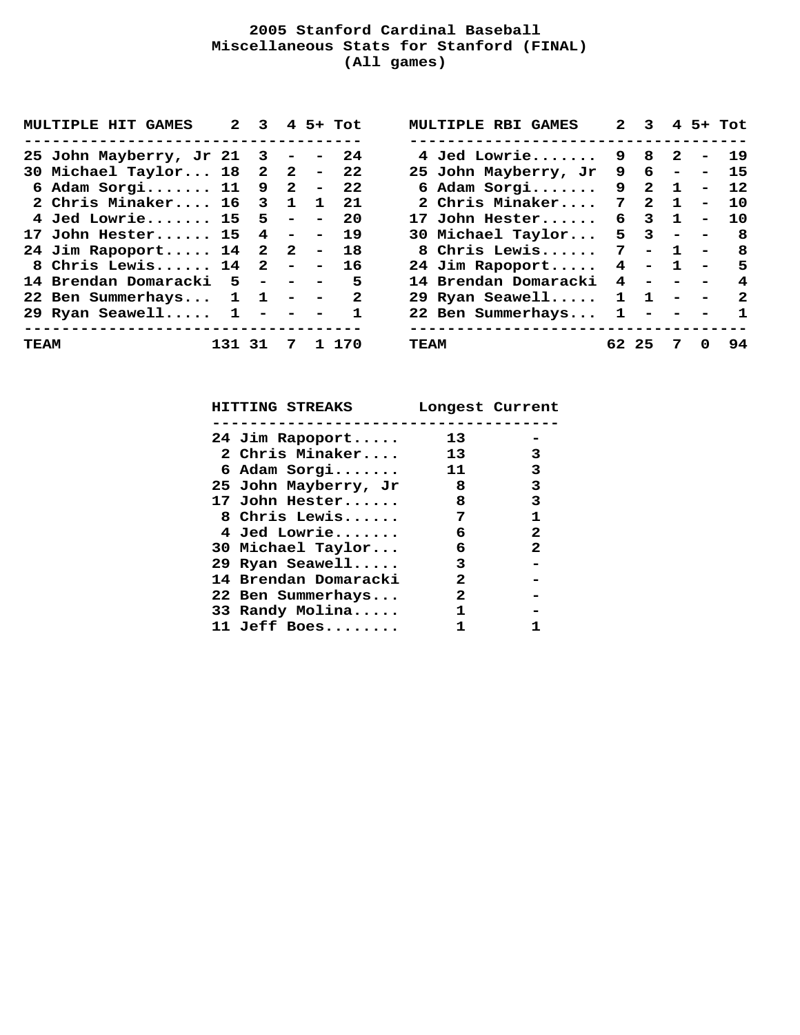### **2005 Stanford Cardinal Baseball Miscellaneous Stats for Stanford (FINAL) (All games)**

|      | <b>MULTIPLE HIT GAMES</b>                     |        | $2 \quad 3$ |   | $4$ 5+ Tot   | <b>MULTIPLE RBI GAMES</b>                        |                | $2 \t3 \t4 \t5+ \t7$ ot |   |                          |              |
|------|-----------------------------------------------|--------|-------------|---|--------------|--------------------------------------------------|----------------|-------------------------|---|--------------------------|--------------|
|      | ------------------------------------          |        |             |   |              | ------------------------------------             |                |                         |   |                          |              |
|      | 25 John Mayberry, Jr 21 $3 - -24$             |        |             |   |              | 4 Jed Lowrie 9 8 2 - 19                          |                |                         |   |                          |              |
|      | 30 Michael Taylor 18 2 2 - 22                 |        |             |   |              | 25 John Mayberry, Jr 9 6 -                       |                |                         |   |                          | - 15         |
|      | 6 Adam Sorgi 11 9 2 - 22                      |        |             |   |              | 6 Adam Sorgi $9 \quad 2 \quad 1$                 |                |                         |   |                          | $-12$        |
|      | 2 Chris Minaker 16 3 1 1 21                   |        |             |   |              | 2 Chris Minaker 7 2 1                            |                |                         |   | $\overline{\phantom{a}}$ | 10           |
|      | 4 Jed Lowrie 15 5 - - 20                      |        |             |   |              | 17 John Hester 6 3 1                             |                |                         |   | $\overline{\phantom{a}}$ | 10           |
|      | 17 John Hester 15 4 - - 19                    |        |             |   |              | 30 Michael Taylor $5 \quad 3 \quad - \quad -$    |                |                         |   |                          | 8 8          |
|      | 24 Jim Rapoport 14 2 2 - 18                   |        |             |   |              | 8 Chris Lewis 7                                  |                |                         |   |                          | $-1 - 8$     |
|      | 8 Chris Lewis 14 2 - - 16                     |        |             |   |              | 24 Jim Rapoport                                  | $\overline{4}$ |                         |   |                          | $-1 - 5$     |
|      | 14 Brendan Domaracki 5 - - - 5                |        |             |   |              | 14 Brendan Domaracki                             |                | $4 - - - 4$             |   |                          |              |
|      | 22 Ben Summerhays $1 \quad 1 \quad - \quad -$ |        |             |   | $\mathbf{2}$ | 29 Ryan Seawell                                  |                | $1 \quad 1$             |   |                          | $- - 2$      |
|      | 29 Ryan Seawell $1 - -$                       |        |             |   | $\mathbf{1}$ | 22 Ben Summerhays                                |                | $1 - - - -$             |   |                          | $\mathbf{1}$ |
| TEAM | ------------------------------------          | 131 31 |             | 7 | 1 170        | ---------------------------------<br><b>TEAM</b> |                | 62 25                   | 7 | $\mathbf 0$              | 94           |

 **HITTING STREAKS Longest Current ------------------------------------- 24 Jim Rapoport..... 13 - 2 Chris Minaker.... 13 3 6 Adam Sorgi....... 11 3 25 John Mayberry, Jr 8 3 17 John Hester...... 8 3 8 Chris Lewis...... 7 1 4 Jed Lowrie....... 6 2 30 Michael Taylor... 6 2 29 Ryan Seawell..... 3 - 14 Brendan Domaracki 2 - 22 Ben Summerhays... 2 - 33 Randy Molina..... 1 - 11 Jeff Boes........ 1 1**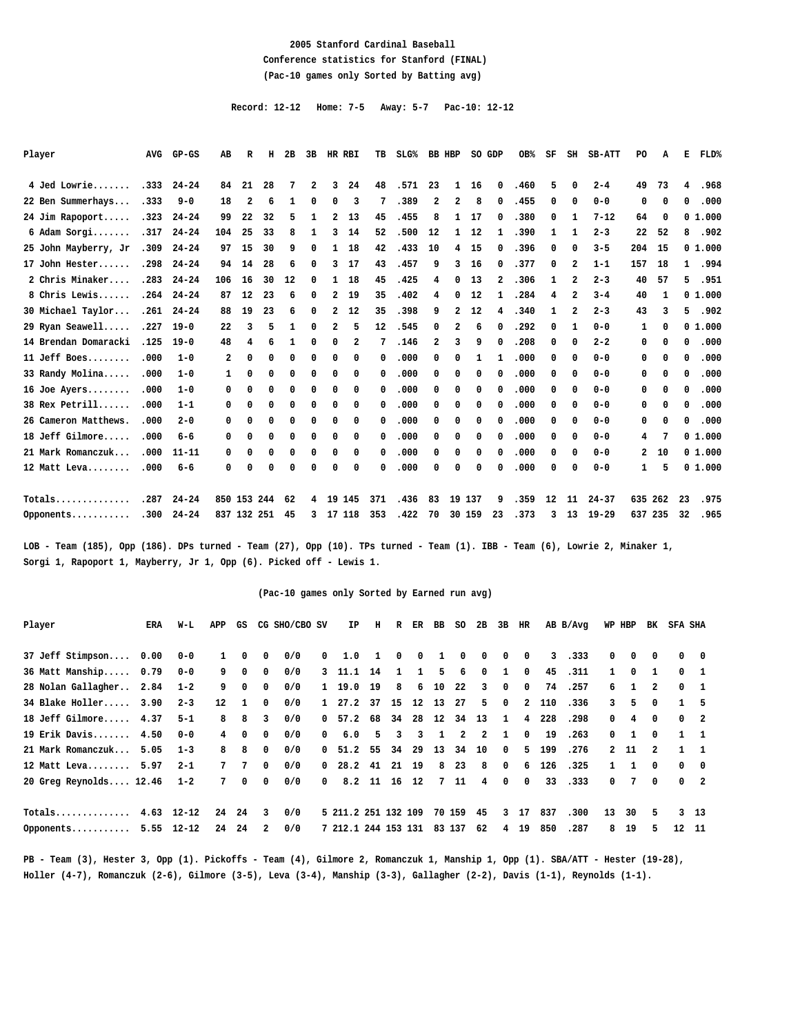#### **2005 Stanford Cardinal Baseball Conference statistics for Stanford (FINAL) (Pac-10 games only Sorted by Batting avg)**

 **Record: 12-12 Home: 7-5 Away: 5-7 Pac-10: 12-12**

| Player               | <b>AVG</b> | $GP-GS$          | AB           | R           | н  | 2B | 3B           | HR RBI       |    | TВ      | SLG <sup>8</sup> |              | BB HBP         | SO GDP |              | OB%  | SF | SH | <b>SB-ATT</b> | P <sub>O</sub> | A  | Е            | FLD%   |
|----------------------|------------|------------------|--------------|-------------|----|----|--------------|--------------|----|---------|------------------|--------------|----------------|--------|--------------|------|----|----|---------------|----------------|----|--------------|--------|
| 4 Jed Lowrie         | .333       | $24 - 24$        | 84           | 21          | 28 | 7  | $\mathbf{2}$ | 3            | 24 | 48      | .571             | 23           | $\mathbf{1}$   | 16     | $^{\circ}$   | .460 | 5  | 0  | $2 - 4$       | 49             | 73 | 4            | .968   |
| 22 Ben Summerhays    | .333       | $9 - 0$          | 18           | 2           | 6  | 1  | 0            | 0            | 3  | 7       | .389             | $\mathbf{2}$ | $\overline{a}$ | 8      | 0            | .455 | 0  | 0  | $0 - 0$       | 0              | 0  | 0            | .000   |
| 24 Jim Rapoport      | .323       | $24 - 24$        | 99           | 22          | 32 | 5  | 1            | 2            | 13 | 45      | .455             | 8            | 1              | 17     | 0            | .380 | 0  | 1  | $7 - 12$      | 64             | 0  |              | 01.000 |
| 6 Adam Sorgi         | .317       | $24 - 24$        | 104          | 25          | 33 | 8  | 1            | 3            | 14 | 52      | .500             | 12           | $\mathbf{1}$   | 12     | 1            | .390 | 1  | 1  | $2 - 3$       | 22             | 52 | 8            | .902   |
| 25 John Mayberry, Jr | .309       | $24 - 24$        | 97           | 15          | 30 | 9  | 0            | $\mathbf{1}$ | 18 | 42      | .433             | 10           | 4              | 15     | 0            | .396 | 0  | 0  | $3 - 5$       | 204            | 15 |              | 01.000 |
| 17 John Hester       | .298       | $24 - 24$        | 94           | 14          | 28 | 6  | 0            | 3            | 17 | 43      | .457             | 9            | 3              | 16     | 0            | .377 | 0  | 2  | $1 - 1$       | 157            | 18 | $\mathbf{1}$ | .994   |
| 2 Chris Minaker      | .283       | $24 - 24$        | 106          | 16          | 30 | 12 | 0            | 1            | 18 | 45      | .425             | 4            | 0              | 13     | 2            | .306 | 1  | 2  | $2 - 3$       | 40             | 57 | 5            | .951   |
| 8 Chris Lewis        | .264       | $24 - 24$        | 87           | 12          | 23 | 6  | 0            | 2            | 19 | 35      | .402             | 4            | 0              | 12     | $\mathbf{1}$ | .284 | 4  | 2  | $3 - 4$       | 40             | 1  |              | 01.000 |
| 30 Michael Taylor    |            | $.261$ $24 - 24$ | 88           | 19          | 23 | 6  | 0            | 2            | 12 | 35      | .398             | 9            | $\overline{a}$ | 12     | 4            | .340 | 1  | 2  | $2 - 3$       | 43             | 3  | 5            | .902   |
| 29 Ryan Seawell      | .227       | $19 - 0$         | 22           | 3           | 5  | 1  | 0            | 2            | 5  | $12 \,$ | .545             | 0            | 2              | 6      | 0            | .292 | 0  | 1  | $0 - 0$       | 1              | 0  |              | 01.000 |
| 14 Brendan Domaracki | .125       | $19 - 0$         | 48           | 4           | 6  | 1  | 0            | $\mathbf{0}$ | 2  | 7       | .146             | $\mathbf{2}$ | 3              | 9      | 0            | .208 | 0  | 0  | $2 - 2$       | 0              | 0  | 0            | .000   |
| 11 Jeff Boes         | .000       | $1 - 0$          | 2            | 0           | 0  | 0  | 0            | 0            | 0  | 0       | .000             | 0            | 0              | 1      | 1            | .000 | 0  | 0  | $0 - 0$       | 0              | 0  | 0            | .000   |
| 33 Randy Molina      | .000       | $1 - 0$          | $\mathbf{1}$ | 0           | 0  | 0  | 0            | 0            | 0  | 0       | .000             | 0            | 0              | 0      | 0            | .000 | 0  | 0  | $0 - 0$       | 0              | 0  | 0            | .000   |
| $16$ Joe Ayers       | .000       | $1 - 0$          | 0            | 0           | 0  | 0  | 0            | 0            | 0  | 0       | .000             | 0            | 0              | 0      | 0            | .000 | 0  | 0  | $0 - 0$       | 0              | 0  | 0            | .000   |
| 38 Rex Petrill       | .000       | $1 - 1$          | 0            | 0           | 0  | 0  | 0            | 0            | 0  | 0       | .000             | 0            | 0              | 0      | 0            | .000 | 0  | 0  | $0 - 0$       | 0              | 0  | 0            | .000   |
| 26 Cameron Matthews. | .000       | $2 - 0$          | 0            | 0           | 0  | 0  | 0            | 0            | 0  | 0       | .000             | 0            | 0              | 0      | 0            | .000 | 0  | 0  | $0 - 0$       | 0              | 0  | 0            | .000   |
| 18 Jeff Gilmore      | .000       | $6 - 6$          | 0            | 0           | 0  | 0  | 0            | 0            | 0  | 0       | .000             | 0            | 0              | 0      | 0            | .000 | 0  | 0  | $0 - 0$       | 4              | 7  |              | 01.000 |
| 21 Mark Romanczuk    | .000       | $11 - 11$        | 0            | 0           | 0  | 0  | 0            | 0            | 0  | 0       | .000             | 0            | 0              | 0      | 0            | .000 | 0  | 0  | $0 - 0$       | $\mathbf{2}$   | 10 |              | 01.000 |
| 12 Matt Leva         | .000       | $6 - 6$          | 0            | 0           | 0  | 0  | 0            | 0            | 0  | 0       | .000             | 0            | 0              | 0      | 0            | .000 | 0  | 0  | $0 - 0$       | 1              | 5  |              | 01.000 |
| Totals               | .287       | $24 - 24$        |              | 850 153 244 |    | 62 | $4^{\circ}$  | 19 145       |    | 371     | .436             | 83           |                | 19 137 | 9            | .359 | 12 | 11 | $24 - 37$     | 635 262        |    | 23           | .975   |

**LOB - Team (185), Opp (186). DPs turned - Team (27), Opp (10). TPs turned - Team (1). IBB - Team (6), Lowrie 2, Minaker 1, Sorgi 1, Rapoport 1, Mayberry, Jr 1, Opp (6). Picked off - Lewis 1.**

#### **(Pac-10 games only Sorted by Earned run avg)**

**Opponents........... .300 24-24 837 132 251 45 3 17 118 353 .422 70 30 159 23 .373 3 13 19-29 637 235 32 .965**

| Player                 | ERA  | W-L            | APP         | GS         |              | CG SHO/CBO SV |            | ΙP                  | н              | R            | ER           | BB           | SO.    | 2B    | 3B           | HR             |     | AB B/Avg |              | WP HBP       | BK             | SFA SHA    |                          |
|------------------------|------|----------------|-------------|------------|--------------|---------------|------------|---------------------|----------------|--------------|--------------|--------------|--------|-------|--------------|----------------|-----|----------|--------------|--------------|----------------|------------|--------------------------|
| 37 Jeff Stimpson       | 0.00 | $0 - 0$        |             | $^{\circ}$ | 0            | 0/0           | $^{\circ}$ | 1.0                 | 1              | $^{\circ}$   | 0            | 1            | 0      | 0     | 0            | $^{\circ}$     | 3   | .333     | $\mathbf{0}$ | 0            | $^{\circ}$     |            | $0\qquad 0$              |
| 36 Matt Manship 0.79   |      | $0 - 0$        | 9           | $^{\circ}$ | 0            | 0/0           |            | 3, 11.1             | 14             | $\mathbf{1}$ | $\mathbf{1}$ | 5            | 6      | 0     | $\mathbf{1}$ | $^{\circ}$     | 45  | .311     | $\mathbf{1}$ | 0            | 1              |            | $0\quad 1$               |
| 28 Nolan Gallagher     | 2.84 | $1 - 2$        | 9           | 0          | $^{\circ}$   | 0/0           |            | 1 19.0 19           |                | 8            | 6            | 10           | 22     | 3     | $^{\circ}$   | $^{\circ}$     | 74  | .257     | 6            | $\mathbf{1}$ | 2              |            | $0\quad 1$               |
| 34 Blake Holler        | 3.90 | $2 - 3$        | $12 \,$     | 1          | $^{\circ}$   | 0/0           |            | 1 27.2 37           |                |              | 15 12 13     |              | 27     | 5     | $^{\circ}$   | $\overline{2}$ | 110 | .336     | 3            | 5.           | $\Omega$       |            | 5                        |
| 18 Jeff Gilmore 4.37   |      | $5 - 1$        | 8           | 8          | 3            | 0/0           |            | 0, 57.2             | 68             | 34           | 28           | 12           |        | 34 13 | $\mathbf{1}$ | 4              | 228 | .298     | 0            | 4            | 0              |            | $0\quad 2$               |
| 19 Erik Davis 4.50     |      | $0 - 0$        | 4           | $^{\circ}$ | $^{\circ}$   | 0/0           | $^{\circ}$ | 6.0                 | 5              | 3            | 3            | $\mathbf{1}$ | 2      | 2     | $\mathbf{1}$ | $^{\circ}$     | 19  | .263     | $^{\circ}$   | 1            | $^{\circ}$     |            | $1 \quad 1$              |
| 21 Mark Romanczuk      | 5.05 | $1 - 3$        | 8           | 8          | $^{\circ}$   | 0/0           |            | 0, 51.2             | 55             | 34           | -29          | 13           | 34     | 10    | $^{\circ}$   | 5              | 199 | .276     |              | 2 11         | $\overline{2}$ |            | $\overline{\phantom{0}}$ |
| 12 Matt Leva           | 5.97 | $2 - 1$        | 7           | 7          | $^{\circ}$   | 0/0           |            | $0$ 28.2 41         |                |              | 21 19        | 8            | 23     | -8    | 0            | 6              | 126 | .325     | $\mathbf{1}$ |              | 0              | $^{\circ}$ | $\overline{\phantom{0}}$ |
| 20 Greg Reynolds 12.46 |      | $1 - 2$        | $7^{\circ}$ | 0          | 0            | 0/0           | $^{\circ}$ |                     | $8.2 \quad 11$ |              | 16 12        |              | 7 11   | 4     | 0            | $^{\circ}$     | 33  | .333     | 0            | 7            | $^{\circ}$     |            | $0\quad 2$               |
| Totals                 |      | $4.63$ 12-12   | 24          | 24         | 3            | 0/0           |            | 5 211.2 251 132 109 |                |              |              |              | 70 159 | 45    | 3            | 17             | 837 | .300     | 13           | 30           | 5              |            | $3 \quad 13$             |
| Opponents              |      | $5.55$ $12-12$ | 24          | 24         | $\mathbf{2}$ | 0/0           |            | 7 212.1 244 153 131 |                |              |              |              | 83 137 | 62    | 4            | 19             | 850 | .287     | 8            | 19           | 5.             | $12 \,$    | - 11                     |
|                        |      |                |             |            |              |               |            |                     |                |              |              |              |        |       |              |                |     |          |              |              |                |            |                          |

**PB - Team (3), Hester 3, Opp (1). Pickoffs - Team (4), Gilmore 2, Romanczuk 1, Manship 1, Opp (1). SBA/ATT - Hester (19-28), Holler (4-7), Romanczuk (2-6), Gilmore (3-5), Leva (3-4), Manship (3-3), Gallagher (2-2), Davis (1-1), Reynolds (1-1).**